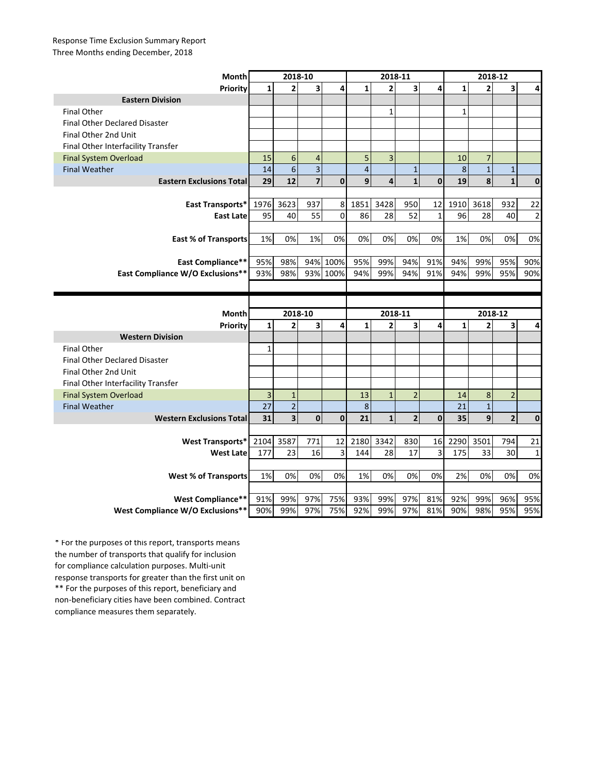## Response Time Exclusion Summary Report Three Months ending December, 2018

| Month                                | 2018-10      |                         |                         |             | 2018-11         |                         |                |              | 2018-12      |                |                         |                |
|--------------------------------------|--------------|-------------------------|-------------------------|-------------|-----------------|-------------------------|----------------|--------------|--------------|----------------|-------------------------|----------------|
| Priority                             | $\mathbf{1}$ | 2                       | $\overline{\mathbf{3}}$ | 4           | $\mathbf{1}$    | $\overline{2}$          | 3              | 4            | $\mathbf{1}$ | $\overline{2}$ | 3                       | 4              |
| <b>Eastern Division</b>              |              |                         |                         |             |                 |                         |                |              |              |                |                         |                |
| <b>Final Other</b>                   |              |                         |                         |             |                 | $\mathbf 1$             |                |              | $\mathbf 1$  |                |                         |                |
| <b>Final Other Declared Disaster</b> |              |                         |                         |             |                 |                         |                |              |              |                |                         |                |
| Final Other 2nd Unit                 |              |                         |                         |             |                 |                         |                |              |              |                |                         |                |
| Final Other Interfacility Transfer   |              |                         |                         |             |                 |                         |                |              |              |                |                         |                |
| <b>Final System Overload</b>         | 15           | $\boldsymbol{6}$        | $\overline{4}$          |             | 5               | $\overline{\mathbf{3}}$ |                |              | 10           | $\overline{7}$ |                         |                |
| <b>Final Weather</b>                 | 14           | 6                       | $\overline{\mathbf{3}}$ |             | $\overline{4}$  |                         | $\mathbf 1$    |              | 8            | $\mathbf{1}$   | $\mathbf 1$             |                |
| <b>Eastern Exclusions Total</b>      | 29           | 12                      | $\overline{7}$          | $\mathbf 0$ | 9               | $\overline{\mathbf{4}}$ | $\mathbf{1}$   | $\mathbf{0}$ | 19           | 8              | $\mathbf{1}$            | $\mathbf 0$    |
|                                      |              |                         |                         |             |                 |                         |                |              |              |                |                         |                |
| East Transports*                     | 1976         | 3623                    | 937                     | 8           | 1851            | 3428                    | 950            | 12           | 1910         | 3618           | 932                     | 22             |
| <b>East Late</b>                     | 95           | 40                      | 55                      | $\mathbf 0$ | 86              | 28                      | 52             | $\mathbf 1$  | 96           | 28             | 40                      | $\overline{2}$ |
|                                      |              |                         |                         |             |                 |                         |                |              |              |                |                         |                |
| <b>East % of Transports</b>          | 1%           | 0%                      | 1%                      | 0%          | 0%              | 0%                      | 0%             | 0%           | 1%           | 0%             | 0%                      | 0%             |
|                                      |              |                         |                         |             |                 |                         |                |              |              |                |                         |                |
| <b>East Compliance**</b>             | 95%          | 98%                     |                         | 94% 100%    | 95%             | 99%                     | 94%            | 91%          | 94%          | 99%            | 95%                     | 90%            |
| East Compliance W/O Exclusions**     | 93%          | 98%                     |                         | 93% 100%    | 94%             | 99%                     | 94%            | 91%          | 94%          | 99%            | 95%                     | 90%            |
|                                      |              |                         |                         |             |                 |                         |                |              |              |                |                         |                |
|                                      |              |                         |                         |             |                 |                         |                |              |              |                |                         |                |
|                                      |              |                         |                         |             |                 |                         |                |              |              |                |                         |                |
| <b>Month</b>                         |              | 2018-10                 |                         |             |                 | 2018-11                 |                |              |              | 2018-12        |                         |                |
| Priority                             | $\mathbf{1}$ | $\overline{2}$          | 3                       | 4           | $\mathbf{1}$    | $\overline{2}$          | 3              | 4            | $\mathbf{1}$ | 2              | 3                       | 4              |
| <b>Western Division</b>              |              |                         |                         |             |                 |                         |                |              |              |                |                         |                |
| <b>Final Other</b>                   | 1            |                         |                         |             |                 |                         |                |              |              |                |                         |                |
| <b>Final Other Declared Disaster</b> |              |                         |                         |             |                 |                         |                |              |              |                |                         |                |
| Final Other 2nd Unit                 |              |                         |                         |             |                 |                         |                |              |              |                |                         |                |
| Final Other Interfacility Transfer   |              |                         |                         |             |                 |                         |                |              |              |                |                         |                |
| <b>Final System Overload</b>         | 3            | $\mathbf{1}$            |                         |             | 13              | $\mathbf{1}$            | $\overline{2}$ |              | 14           | 8              | $\overline{2}$          |                |
| <b>Final Weather</b>                 | 27           | $\overline{a}$          |                         |             | 8               |                         |                |              | 21           | $\overline{1}$ |                         |                |
| <b>Western Exclusions Total</b>      | 31           | $\overline{\mathbf{3}}$ | $\mathbf 0$             | $\mathbf 0$ | $\overline{21}$ | $\mathbf{1}$            | $\overline{2}$ | $\mathbf 0$  | 35           | 9              | $\overline{\mathbf{c}}$ | $\pmb{0}$      |
|                                      |              |                         |                         |             |                 |                         |                |              |              |                |                         |                |
| <b>West Transports*</b>              | 2104         | 3587                    | 771                     | 12          | 2180            | 3342                    | 830            | 16           | 2290         | 3501           | 794                     | 21             |
| <b>West Late</b>                     | 177          | 23                      | 16                      | 3           | 144             | 28                      | 17             | 3            | 175          | 33             | 30                      | $\mathbf{1}$   |
|                                      |              |                         |                         |             |                 |                         |                |              |              |                |                         |                |
| <b>West % of Transports</b>          | $1\%$        | 0%                      | 0%                      | 0%          | 1%              | 0%                      | 0%             | 0%           | 2%           | 0%             | 0%                      | 0%             |
|                                      |              |                         |                         |             |                 |                         |                |              |              |                |                         |                |
| <b>West Compliance**</b>             | 91%          | 99%                     | 97%                     | 75%         | 93%             | 99%                     | 97%            | 81%          | 92%          | 99%            | 96%                     | 95%            |

\*\* For the purposes of this report, beneficiary and non-beneficiary cities have been combined. Contract compliance measures them separately. \* For the purposes of this report, transports means the number of transports that qualify for inclusion for compliance calculation purposes. Multi-unit response transports for greater than the first unit on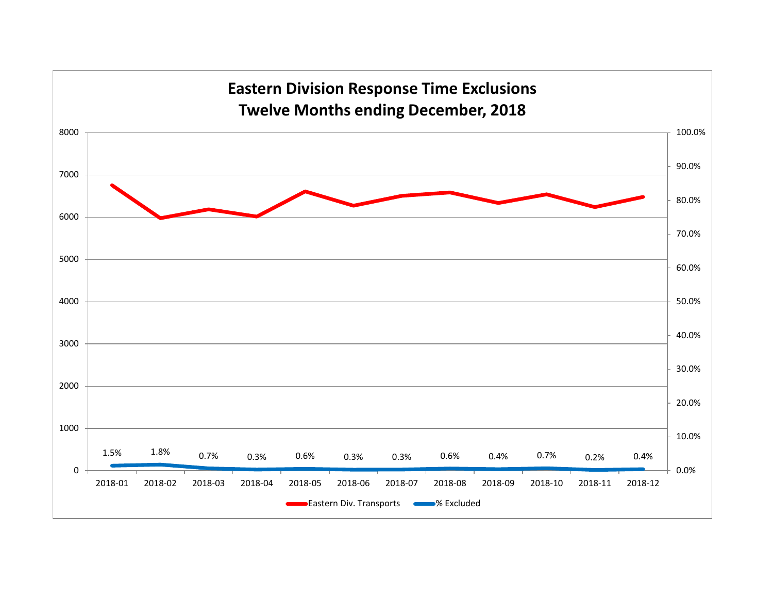